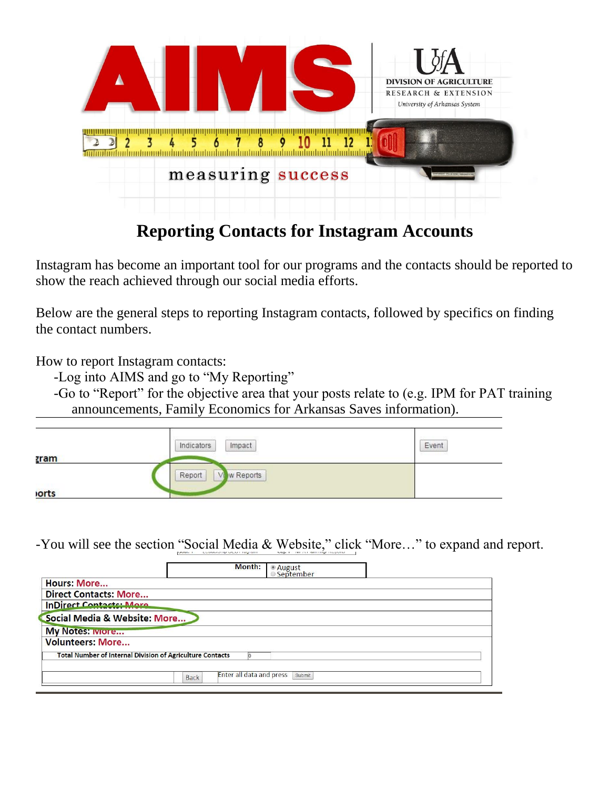

## **Reporting Contacts for Instagram Accounts**

Instagram has become an important tool for our programs and the contacts should be reported to show the reach achieved through our social media efforts.

Below are the general steps to reporting Instagram contacts, followed by specifics on finding the contact numbers.

How to report Instagram contacts:

-Log into AIMS and go to "My Reporting"

-Go to "Report" for the objective area that your posts relate to (e.g. IPM for PAT training announcements, Family Economics for Arkansas Saves information).

|             | Impact<br>Indicators | Event |
|-------------|----------------------|-------|
| <u>zram</u> |                      |       |
|             | Report<br>w Reports  |       |
| <b>orts</b> |                      |       |

-You will see the section "Social Media & Website," click "More…" to expand and report.

| Month:                                                           | ● August<br>◎ September |                                    |  |
|------------------------------------------------------------------|-------------------------|------------------------------------|--|
|                                                                  |                         |                                    |  |
|                                                                  |                         |                                    |  |
|                                                                  |                         |                                    |  |
|                                                                  |                         |                                    |  |
|                                                                  |                         |                                    |  |
|                                                                  |                         |                                    |  |
|                                                                  |                         |                                    |  |
| <b>Total Number of Internal Division of Agriculture Contacts</b> |                         |                                    |  |
|                                                                  |                         |                                    |  |
|                                                                  |                         |                                    |  |
|                                                                  |                         | Enter all data and press<br>Submit |  |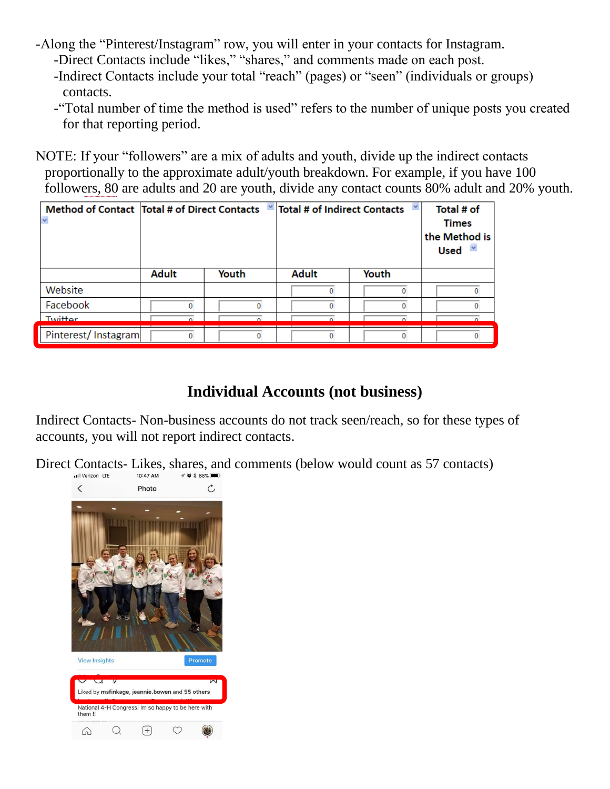- -Along the "Pinterest/Instagram" row, you will enter in your contacts for Instagram. -Direct Contacts include "likes," "shares," and comments made on each post.
	- -Indirect Contacts include your total "reach" (pages) or "seen" (individuals or groups)
	- contacts.
	- -"Total number of time the method is used" refers to the number of unique posts you created for that reporting period.

NOTE: If your "followers" are a mix of adults and youth, divide up the indirect contacts proportionally to the approximate adult/youth breakdown. For example, if you have 100 followers, 80 are adults and 20 are youth, divide any contact counts 80% adult and 20% youth.

| Method of Contact   Total # of Direct Contacts |              |       | $\blacksquare$ Total # of Indirect Contacts |       | Total # of<br><b>Times</b><br>the Method is<br><b>Used</b> |
|------------------------------------------------|--------------|-------|---------------------------------------------|-------|------------------------------------------------------------|
|                                                | <b>Adult</b> | Youth | <b>Adult</b>                                | Youth |                                                            |
| Website                                        |              |       |                                             |       |                                                            |
| Facebook                                       |              |       |                                             |       |                                                            |
| Twitter                                        |              |       |                                             |       |                                                            |
| Pinterest/Instagram                            |              |       |                                             |       |                                                            |

## **Individual Accounts (not business)**

Indirect Contacts- Non-business accounts do not track seen/reach, so for these types of accounts, you will not report indirect contacts.

Direct Contacts- Likes, shares, and comments (below would count as 57 contacts)